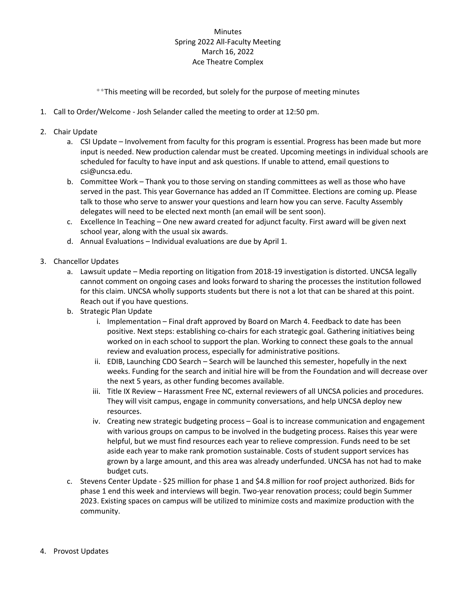## **Minutes** Spring 2022 All-Faculty Meeting March 16, 2022 Ace Theatre Complex

\*\*This meeting will be recorded, but solely for the purpose of meeting minutes

- 1. Call to Order/Welcome Josh Selander called the meeting to order at 12:50 pm.
- 2. Chair Update
	- a. CSI Update Involvement from faculty for this program is essential. Progress has been made but more input is needed. New production calendar must be created. Upcoming meetings in individual schools are scheduled for faculty to have input and ask questions. If unable to attend, email questions to csi@uncsa.edu.
	- b. Committee Work Thank you to those serving on standing committees as well as those who have served in the past. This year Governance has added an IT Committee. Elections are coming up. Please talk to those who serve to answer your questions and learn how you can serve. Faculty Assembly delegates will need to be elected next month (an email will be sent soon).
	- c. Excellence In Teaching One new award created for adjunct faculty. First award will be given next school year, along with the usual six awards.
	- d. Annual Evaluations Individual evaluations are due by April 1.
- 3. Chancellor Updates
	- a. Lawsuit update Media reporting on litigation from 2018-19 investigation is distorted. UNCSA legally cannot comment on ongoing cases and looks forward to sharing the processes the institution followed for this claim. UNCSA wholly supports students but there is not a lot that can be shared at this point. Reach out if you have questions.
	- b. Strategic Plan Update
		- i. Implementation Final draft approved by Board on March 4. Feedback to date has been positive. Next steps: establishing co-chairs for each strategic goal. Gathering initiatives being worked on in each school to support the plan. Working to connect these goals to the annual review and evaluation process, especially for administrative positions.
		- ii. EDIB, Launching CDO Search Search will be launched this semester, hopefully in the next weeks. Funding for the search and initial hire will be from the Foundation and will decrease over the next 5 years, as other funding becomes available.
		- iii. Title IX Review Harassment Free NC, external reviewers of all UNCSA policies and procedures. They will visit campus, engage in community conversations, and help UNCSA deploy new resources.
		- iv. Creating new strategic budgeting process Goal is to increase communication and engagement with various groups on campus to be involved in the budgeting process. Raises this year were helpful, but we must find resources each year to relieve compression. Funds need to be set aside each year to make rank promotion sustainable. Costs of student support services has grown by a large amount, and this area was already underfunded. UNCSA has not had to make budget cuts.
	- c. Stevens Center Update \$25 million for phase 1 and \$4.8 million for roof project authorized. Bids for phase 1 end this week and interviews will begin. Two-year renovation process; could begin Summer 2023. Existing spaces on campus will be utilized to minimize costs and maximize production with the community.